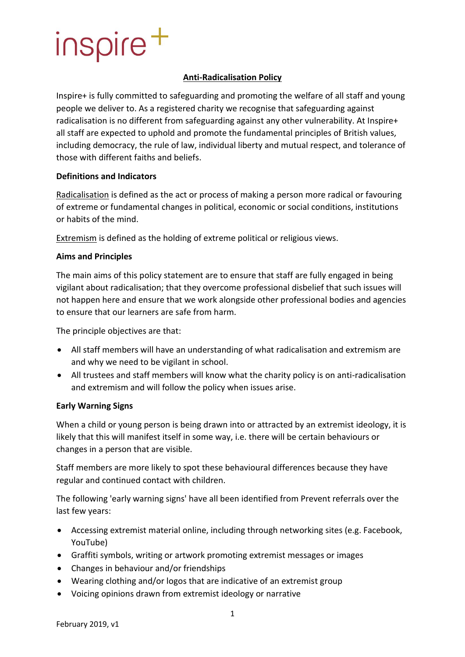# inspire<sup>+</sup>

## **Anti-Radicalisation Policy**

Inspire+ is fully committed to safeguarding and promoting the welfare of all staff and young people we deliver to. As a registered charity we recognise that safeguarding against radicalisation is no different from safeguarding against any other vulnerability. At Inspire+ all staff are expected to uphold and promote the fundamental principles of British values, including democracy, the rule of law, individual liberty and mutual respect, and tolerance of those with different faiths and beliefs.

#### **Definitions and Indicators**

Radicalisation is defined as the act or process of making a person more radical or favouring of extreme or fundamental changes in political, economic or social conditions, institutions or habits of the mind.

Extremism is defined as the holding of extreme political or religious views.

### **Aims and Principles**

The main aims of this policy statement are to ensure that staff are fully engaged in being vigilant about radicalisation; that they overcome professional disbelief that such issues will not happen here and ensure that we work alongside other professional bodies and agencies to ensure that our learners are safe from harm.

The principle objectives are that:

- All staff members will have an understanding of what radicalisation and extremism are and why we need to be vigilant in school.
- All trustees and staff members will know what the charity policy is on anti-radicalisation and extremism and will follow the policy when issues arise.

#### **Early Warning Signs**

When a child or young person is being drawn into or attracted by an extremist ideology, it is likely that this will manifest itself in some way, i.e. there will be certain behaviours or changes in a person that are visible.

Staff members are more likely to spot these behavioural differences because they have regular and continued contact with children.

The following 'early warning signs' have all been identified from Prevent referrals over the last few years:

- Accessing extremist material online, including through networking sites (e.g. Facebook, YouTube)
- Graffiti symbols, writing or artwork promoting extremist messages or images
- Changes in behaviour and/or friendships
- Wearing clothing and/or logos that are indicative of an extremist group
- Voicing opinions drawn from extremist ideology or narrative